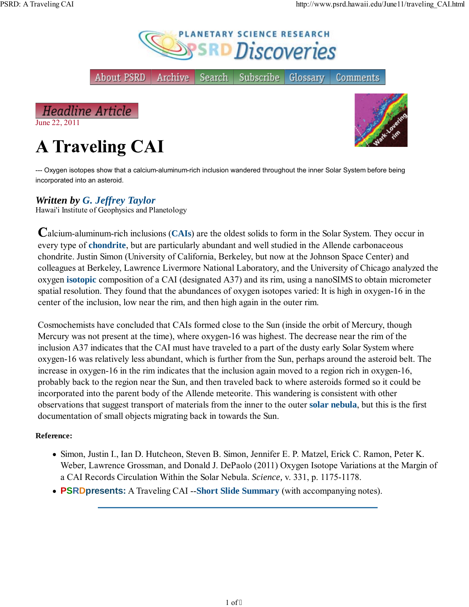

About PSRD Archive Subscribe Glossary Comments

**Headline Article** June 22, 2011

# **A Traveling CAI**



--- Oxygen isotopes show that a calcium-aluminum-rich inclusion wandered throughout the inner Solar System before being incorporated into an asteroid.

Search

### *Written by G. Jeffrey Taylor*

Hawai'i Institute of Geophysics and Planetology

alcium-aluminum-rich inclusions (**CAIs**) are the oldest solids to form in the Solar System. They occur in every type of **chondrite**, but are particularly abundant and well studied in the Allende carbonaceous chondrite. Justin Simon (University of California, Berkeley, but now at the Johnson Space Center) and colleagues at Berkeley, Lawrence Livermore National Laboratory, and the University of Chicago analyzed the oxygen **isotopic** composition of a CAI (designated A37) and its rim, using a nanoSIMS to obtain micrometer spatial resolution. They found that the abundances of oxygen isotopes varied: It is high in oxygen-16 in the center of the inclusion, low near the rim, and then high again in the outer rim.

Cosmochemists have concluded that CAIs formed close to the Sun (inside the orbit of Mercury, though Mercury was not present at the time), where oxygen-16 was highest. The decrease near the rim of the inclusion A37 indicates that the CAI must have traveled to a part of the dusty early Solar System where oxygen-16 was relatively less abundant, which is further from the Sun, perhaps around the asteroid belt. The increase in oxygen-16 in the rim indicates that the inclusion again moved to a region rich in oxygen-16, probably back to the region near the Sun, and then traveled back to where asteroids formed so it could be incorporated into the parent body of the Allende meteorite. This wandering is consistent with other observations that suggest transport of materials from the inner to the outer **solar nebula**, but this is the first documentation of small objects migrating back in towards the Sun.

#### **Reference:**

- Simon, Justin I., Ian D. Hutcheon, Steven B. Simon, Jennifer E. P. Matzel, Erick C. Ramon, Peter K. Weber, Lawrence Grossman, and Donald J. DePaolo (2011) Oxygen Isotope Variations at the Margin of a CAI Records Circulation Within the Solar Nebula. *Science,* v. 331, p. 1175-1178.
- **PSRDpresents:** A Traveling CAI --**Short Slide Summary** (with accompanying notes).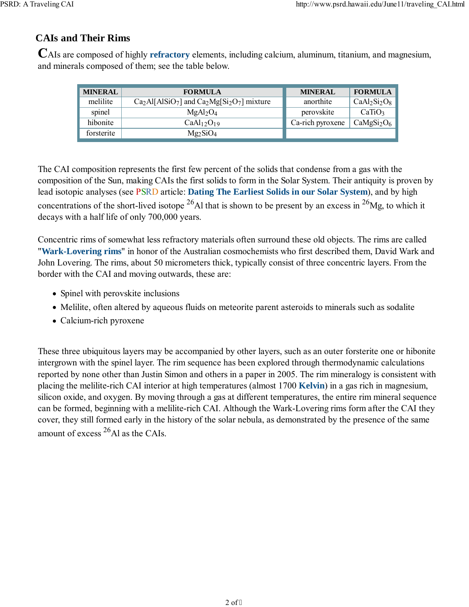### **CAIs and Their Rims**

AIs are composed of highly **refractory** elements, including calcium, aluminum, titanium, and magnesium, and minerals composed of them; see the table below.

| <b>MINERAL</b> | <b>FORMULA</b>                             | <b>MINERAL</b>   | <b>FORMULA</b>                     |
|----------------|--------------------------------------------|------------------|------------------------------------|
| melilite       | $Ca2Al[AlSiO7]$ and $Ca2Mg[Si2O7]$ mixture | anorthite        | $CaAl2Si2O8$                       |
| spinel         | MgAl <sub>2</sub> O <sub>4</sub>           | perovskite       | CaTiO <sub>3</sub>                 |
| hibonite       | CaAl <sub>12</sub> O <sub>19</sub>         | Ca-rich pyroxene | CaMgSi <sub>2</sub> O <sub>6</sub> |
| forsterite     | $Mg_2SiO_4$                                |                  |                                    |

The CAI composition represents the first few percent of the solids that condense from a gas with the composition of the Sun, making CAIs the first solids to form in the Solar System. Their antiquity is proven by lead isotopic analyses (see PSRD article: **Dating The Earliest Solids in our Solar System**), and by high concentrations of the short-lived isotope  $^{26}$ Al that is shown to be present by an excess in  $^{26}$ Mg, to which it decays with a half life of only 700,000 years.

Concentric rims of somewhat less refractory materials often surround these old objects. The rims are called "**Wark-Lovering rims**" in honor of the Australian cosmochemists who first described them, David Wark and John Lovering. The rims, about 50 micrometers thick, typically consist of three concentric layers. From the border with the CAI and moving outwards, these are:

- Spinel with perovskite inclusions
- Melilite, often altered by aqueous fluids on meteorite parent asteroids to minerals such as sodalite
- Calcium-rich pyroxene

These three ubiquitous layers may be accompanied by other layers, such as an outer forsterite one or hibonite intergrown with the spinel layer. The rim sequence has been explored through thermodynamic calculations reported by none other than Justin Simon and others in a paper in 2005. The rim mineralogy is consistent with placing the melilite-rich CAI interior at high temperatures (almost 1700 **Kelvin**) in a gas rich in magnesium, silicon oxide, and oxygen. By moving through a gas at different temperatures, the entire rim mineral sequence can be formed, beginning with a melilite-rich CAI. Although the Wark-Lovering rims form after the CAI they cover, they still formed early in the history of the solar nebula, as demonstrated by the presence of the same amount of excess  $^{26}$ Al as the CAIs.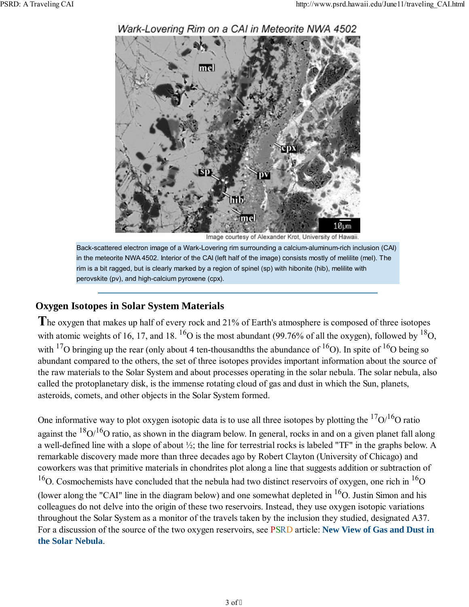

#### Wark-Lovering Rim on a CAI in Meteorite NWA 4502

Image courtesy of Alexander Krot, University of Hawaii.

Back-scattered electron image of a Wark-Lovering rim surrounding a calcium-aluminum-rich inclusion (CAI) in the meteorite NWA 4502. Interior of the CAI (left half of the image) consists mostly of melilite (mel). The rim is a bit ragged, but is clearly marked by a region of spinel (sp) with hibonite (hib), melilite with perovskite (pv), and high-calcium pyroxene (cpx).

#### **Oxygen Isotopes in Solar System Materials**

The oxygen that makes up half of every rock and 21% of Earth's atmosphere is composed of three isotopes with atomic weights of 16, 17, and 18.  $^{16}O$  is the most abundant (99.76% of all the oxygen), followed by  $^{18}O$ , with <sup>17</sup>O bringing up the rear (only about 4 ten-thousandths the abundance of <sup>16</sup>O). In spite of <sup>16</sup>O being so abundant compared to the others, the set of three isotopes provides important information about the source of the raw materials to the Solar System and about processes operating in the solar nebula. The solar nebula, also called the protoplanetary disk, is the immense rotating cloud of gas and dust in which the Sun, planets, asteroids, comets, and other objects in the Solar System formed.

One informative way to plot oxygen isotopic data is to use all three isotopes by plotting the  $17O/16O$  ratio against the  $18O/16O$  ratio, as shown in the diagram below. In general, rocks in and on a given planet fall along a well-defined line with a slope of about ½; the line for terrestrial rocks is labeled "TF" in the graphs below. A remarkable discovery made more than three decades ago by Robert Clayton (University of Chicago) and coworkers was that primitive materials in chondrites plot along a line that suggests addition or subtraction of <sup>16</sup>O. Cosmochemists have concluded that the nebula had two distinct reservoirs of oxygen, one rich in <sup>16</sup>O (lower along the "CAI" line in the diagram below) and one somewhat depleted in  ${}^{16}O$ . Justin Simon and his colleagues do not delve into the origin of these two reservoirs. Instead, they use oxygen isotopic variations throughout the Solar System as a monitor of the travels taken by the inclusion they studied, designated A37. For a discussion of the source of the two oxygen reservoirs, see PSRD article: **New View of Gas and Dust in the Solar Nebula**.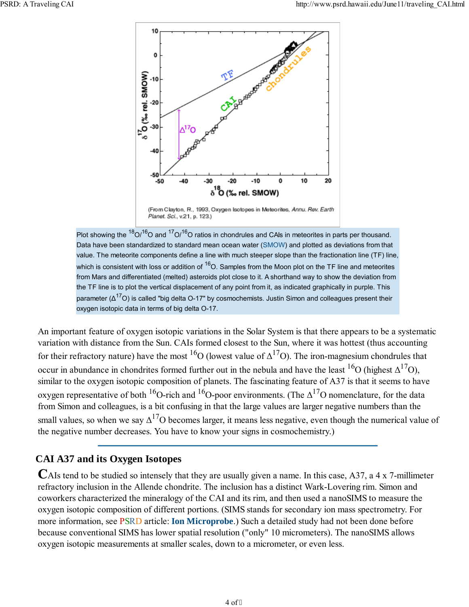

(From Clayton, R., 1993, Oxygen Isotopes in Meteorites, Annu. Rev. Earth Planet. Sci., v.21, p. 123.)

Plot showing the  ${}^{18}O/{}^{16}O$  and  ${}^{17}O/{}^{16}O$  ratios in chondrules and CAIs in meteorites in parts per thousand. Data have been standardized to standard mean ocean water (SMOW) and plotted as deviations from that value. The meteorite components define a line with much steeper slope than the fractionation line (TF) line, which is consistent with loss or addition of  ${}^{16}O$ . Samples from the Moon plot on the TF line and meteorites from Mars and differentiated (melted) asteroids plot close to it. A shorthand way to show the deviation from the TF line is to plot the vertical displacement of any point from it, as indicated graphically in purple. This parameter ( $\Delta^{17}$ O) is called "big delta O-17" by cosmochemists. Justin Simon and colleagues present their oxygen isotopic data in terms of big delta O-17.

An important feature of oxygen isotopic variations in the Solar System is that there appears to be a systematic variation with distance from the Sun. CAIs formed closest to the Sun, where it was hottest (thus accounting for their refractory nature) have the most <sup>16</sup>O (lowest value of  $\Delta^{17}$ O). The iron-magnesium chondrules that occur in abundance in chondrites formed further out in the nebula and have the least  $16$ O (highest  $\Delta^{17}$ O), similar to the oxygen isotopic composition of planets. The fascinating feature of A37 is that it seems to have oxygen representative of both <sup>16</sup>O-rich and <sup>16</sup>O-poor environments. (The  $\Delta^{17}$ O nomenclature, for the data from Simon and colleagues, is a bit confusing in that the large values are larger negative numbers than the small values, so when we say  $\Delta^{17}$ O becomes larger, it means less negative, even though the numerical value of the negative number decreases. You have to know your signs in cosmochemistry.)

## **CAI A37 and its Oxygen Isotopes**

AIs tend to be studied so intensely that they are usually given a name. In this case, A37, a 4 x 7-millimeter refractory inclusion in the Allende chondrite. The inclusion has a distinct Wark-Lovering rim. Simon and coworkers characterized the mineralogy of the CAI and its rim, and then used a nanoSIMS to measure the oxygen isotopic composition of different portions. (SIMS stands for secondary ion mass spectrometry. For more information, see PSRD article: **Ion Microprobe**.) Such a detailed study had not been done before because conventional SIMS has lower spatial resolution ("only" 10 micrometers). The nanoSIMS allows oxygen isotopic measurements at smaller scales, down to a micrometer, or even less.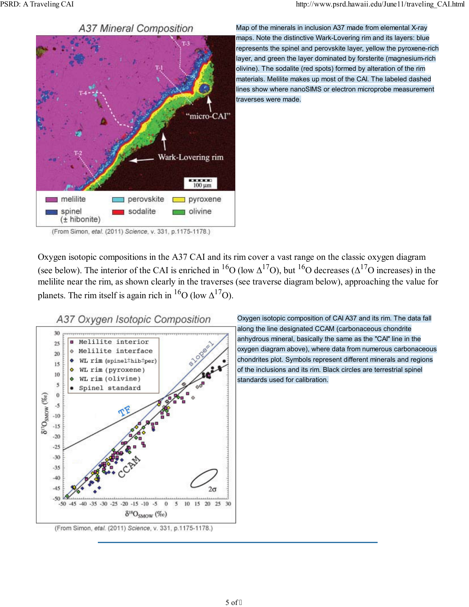**A37 Mineral Composition** 



Map of the minerals in inclusion A37 made from elemental X-ray maps. Note the distinctive Wark-Lovering rim and its layers: blue represents the spinel and perovskite layer, yellow the pyroxene-rich layer, and green the layer dominated by forsterite (magnesium-rich olivine). The sodalite (red spots) formed by alteration of the rim materials. Melilite makes up most of the CAI. The labeled dashed lines show where nanoSIMS or electron microprobe measurement traverses were made.

Oxygen isotopic compositions in the A37 CAI and its rim cover a vast range on the classic oxygen diagram (see below). The interior of the CAI is enriched in <sup>16</sup>O (low  $\Delta^{17}$ O), but <sup>16</sup>O decreases ( $\Delta^{17}$ O increases) in the melilite near the rim, as shown clearly in the traverses (see traverse diagram below), approaching the value for planets. The rim itself is again rich in  ${}^{16}O$  (low  $\Delta {}^{17}O$ ).



Oxygen isotopic composition of CAI A37 and its rim. The data fall along the line designated CCAM (carbonaceous chondrite anhydrous mineral, basically the same as the "CAI" line in the oxygen diagram above), where data from numerous carbonaceous chondrites plot. Symbols represent different minerals and regions of the inclusions and its rim. Black circles are terrestrial spinel standards used for calibration.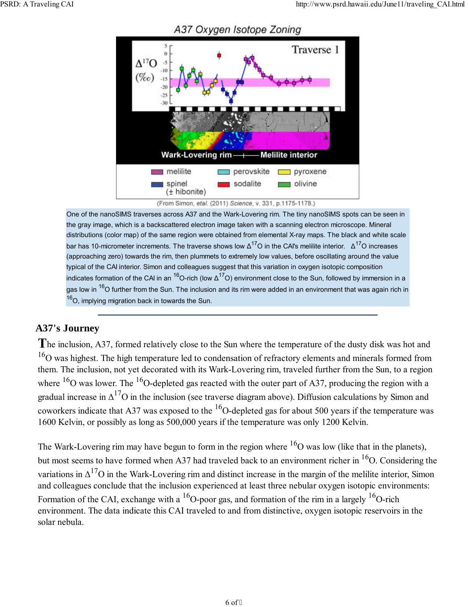

A37 Oxygen Isotope Zoning

(From Simon, etal. (2011) Science, v. 331, p.1175-1178.)

One of the nanoSIMS traverses across A37 and the Wark-Lovering rim. The tiny nanoSIMS spots can be seen in the gray image, which is a backscattered electron image taken with a scanning electron microscope. Mineral distributions (color map) of the same region were obtained from elemental X-ray maps. The black and white scale bar has 10-micrometer increments. The traverse shows low  $\Delta^{17}$ O in the CAI's melilite interior.  $\Delta^{17}$ O increases (approaching zero) towards the rim, then plummets to extremely low values, before oscillating around the value typical of the CAI interior. Simon and colleagues suggest that this variation in oxygen isotopic composition indicates formation of the CAI in an <sup>16</sup>O-rich (low  $\Delta^{17}$ O) environment close to the Sun, followed by immersion in a gas low in <sup>16</sup>O further from the Sun. The inclusion and its rim were added in an environment that was again rich in  $16$ O, implying migration back in towards the Sun.

## **A37's Journey**

The inclusion, A37, formed relatively close to the Sun where the temperature of the dusty disk was hot and  $16$ O was highest. The high temperature led to condensation of refractory elements and minerals formed from them. The inclusion, not yet decorated with its Wark-Lovering rim, traveled further from the Sun, to a region where  $^{16}$ O was lower. The  $^{16}$ O-depleted gas reacted with the outer part of A37, producing the region with a gradual increase in  $\Delta^{17}$ O in the inclusion (see traverse diagram above). Diffusion calculations by Simon and coworkers indicate that A37 was exposed to the  ${}^{16}$ O-depleted gas for about 500 years if the temperature was 1600 Kelvin, or possibly as long as 500,000 years if the temperature was only 1200 Kelvin.

The Wark-Lovering rim may have begun to form in the region where  $16$ O was low (like that in the planets), but most seems to have formed when A37 had traveled back to an environment richer in  $^{16}O$ . Considering the variations in  $\Delta^{17}$ O in the Wark-Lovering rim and distinct increase in the margin of the melilite interior, Simon and colleagues conclude that the inclusion experienced at least three nebular oxygen isotopic environments: Formation of the CAI, exchange with a  $^{16}O$ -poor gas, and formation of the rim in a largely  $^{16}O$ -rich environment. The data indicate this CAI traveled to and from distinctive, oxygen isotopic reservoirs in the solar nebula.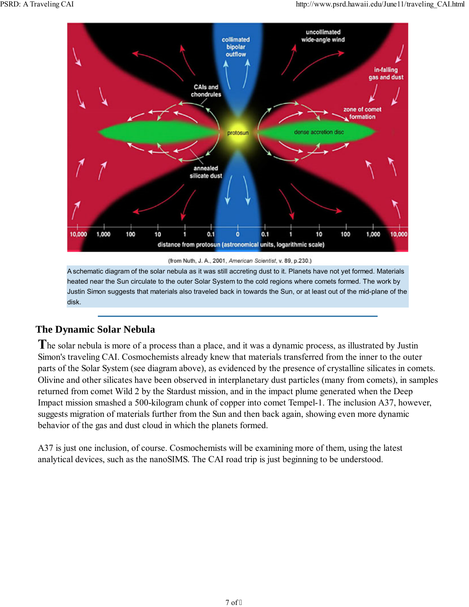

heated near the Sun circulate to the outer Solar System to the cold regions where comets formed. The work by Justin Simon suggests that materials also traveled back in towards the Sun, or at least out of the mid-plane of the disk.

## **The Dynamic Solar Nebula**

The solar nebula is more of a process than a place, and it was a dynamic process, as illustrated by Justin Simon's traveling CAI. Cosmochemists already knew that materials transferred from the inner to the outer parts of the Solar System (see diagram above), as evidenced by the presence of crystalline silicates in comets. Olivine and other silicates have been observed in interplanetary dust particles (many from comets), in samples returned from comet Wild 2 by the Stardust mission, and in the impact plume generated when the Deep Impact mission smashed a 500-kilogram chunk of copper into comet Tempel-1. The inclusion A37, however, suggests migration of materials further from the Sun and then back again, showing even more dynamic behavior of the gas and dust cloud in which the planets formed.

A37 is just one inclusion, of course. Cosmochemists will be examining more of them, using the latest analytical devices, such as the nanoSIMS. The CAI road trip is just beginning to be understood.